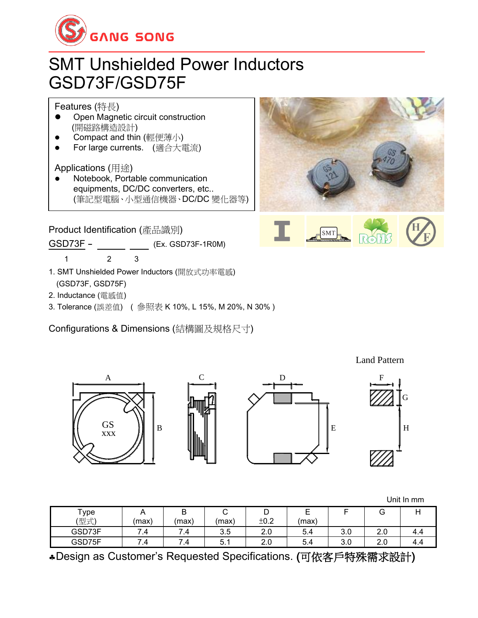

## SMT Unshielded Power Inductors GSD73F/GSD75F

Features (特長)

- ⚫ Open Magnetic circuit construction (開磁路構造設計)
- Compact and thin (輕便薄小)
- ⚫ For large currents. (適合大電流)

Applications (用途)

⚫ Notebook, Portable communication equipments, DC/DC converters, etc.. (筆記型電腦、小型通信機器、DC/DC 變化器等)

Product Identification (產品識別)

GSD73F - (Ex. GSD73F-1R0M)

1 2 3

A

GS xxx

- 1. SMT Unshielded Power Inductors (開放式功率電感) (GSD73F, GSD75F)
- 2. Inductance (電感值)
- 3. Tolerance (誤差值) ( 參照表 K 10%, L 15%, M 20%, N 30% )

Configurations & Dimensions (結構圖及規格尺寸)

B



G F



|        |                |        |       |      |       |     |     | Unit In mm |
|--------|----------------|--------|-------|------|-------|-----|-----|------------|
| Type   | A              | D<br>D | ັ     | ◡    | ᄇ     |     | G   |            |
| (型式)   | (max)          | (max)  | (max) | ±0.2 | (max) |     |     |            |
| GSD73F | $^{\prime}$ .4 | 7.4    | 3.5   | 2.0  | 5.4   | 3.0 | 2.0 | 4.4        |
| GSD75F | 7.4            | 7.4    | 5.    | 2.0  | 5.4   | 3.0 | 2.0 | 4.4        |

Design as Customer's Requested Specifications. (可依客戶特殊需求設計)



Land Pattern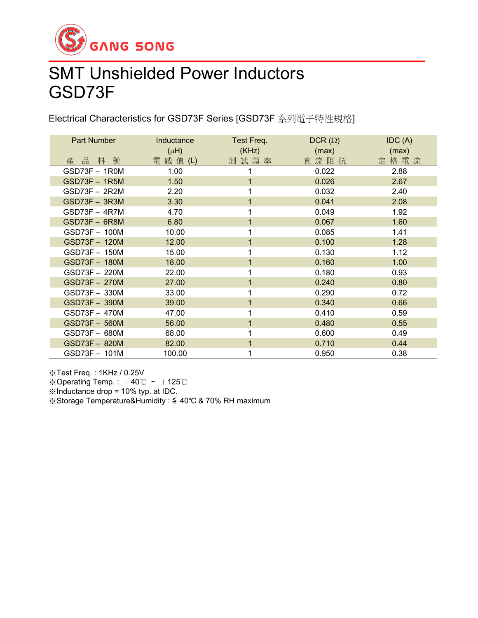

## SMT Unshielded Power Inductors GSD73F

Electrical Characteristics for GSD73F Series [GSD73F 系列電子特性規格]

| Part Number          | Inductance | Test Freq. | $DCR(\Omega)$ | IDC(A) |
|----------------------|------------|------------|---------------|--------|
|                      | $(\mu H)$  | (KHz)      | (max)         | (max)  |
| 產品料號                 | 電 感 值 (L)  | 測試頻率       | 直流阻抗          | 定格電流   |
| GSD73F - 1R0M        | 1.00       |            | 0.022         | 2.88   |
| $GSD73F - 1R5M$      | 1.50       | 1          | 0.026         | 2.67   |
| GSD73F - 2R2M        | 2.20       |            | 0.032         | 2.40   |
| GSD73F - 3R3M        | 3.30       | 1          | 0.041         | 2.08   |
| $GSD73F - 4R7M$      | 4.70       |            | 0.049         | 1.92   |
| GSD73F - 6R8M        | 6.80       |            | 0.067         | 1.60   |
| GSD73F - 100M        | 10.00      | 1          | 0.085         | 1.41   |
| GSD73F - 120M        | 12.00      |            | 0.100         | 1.28   |
| GSD73F - 150M        | 15.00      |            | 0.130         | 1.12   |
| GSD73F - 180M        | 18.00      | 1          | 0.160         | 1.00   |
| GSD73F - 220M        | 22.00      |            | 0.180         | 0.93   |
| <b>GSD73F - 270M</b> | 27.00      |            | 0.240         | 0.80   |
| GSD73F - 330M        | 33.00      | 4          | 0.290         | 0.72   |
| GSD73F - 390M        | 39.00      | 1          | 0.340         | 0.66   |
| GSD73F - 470M        | 47.00      |            | 0.410         | 0.59   |
| GSD73F - 560M        | 56.00      |            | 0.480         | 0.55   |
| GSD73F - 680M        | 68.00      |            | 0.600         | 0.49   |
| GSD73F - 820M        | 82.00      | 1          | 0.710         | 0.44   |
| GSD73F - 101M        | 100.00     |            | 0.950         | 0.38   |

※Test Freq. : 1KHz / 0.25V ※Operating Temp.:  $-40^{\circ}$ C ~  $+125^{\circ}$ C ※Inductance drop = 10% typ. at IDC.

※Storage Temperature&Humidity : ≦ 40℃ & 70% RH maximum